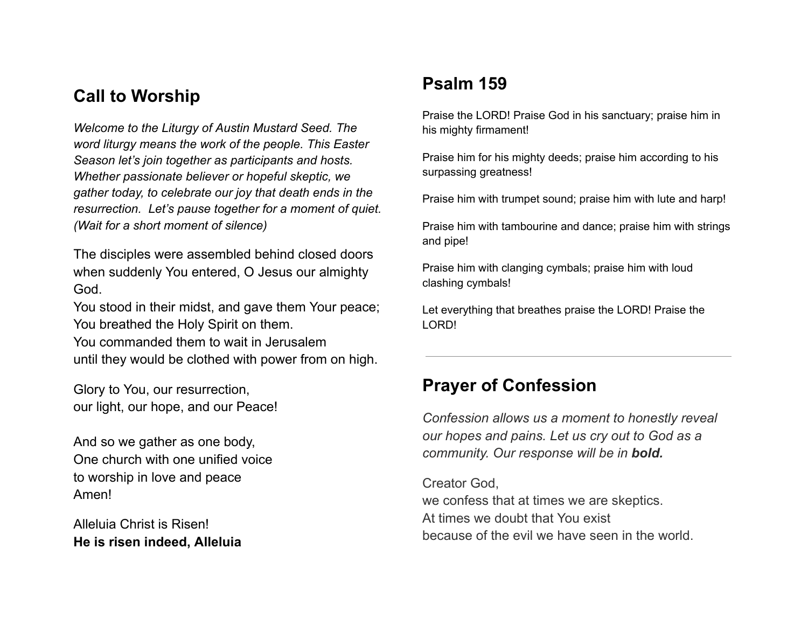# **Call to Worship**

*Welcome to the Liturgy of Austin Mustard Seed. The word liturgy means the work of the people. This Easter Season let's join together as participants and hosts. Whether passionate believer or hopeful skeptic, we gather today, to celebrate our joy that death ends in the resurrection. Let's pause together for a moment of quiet. (Wait for a short moment of silence)*

The disciples were assembled behind closed doors when suddenly You entered, O Jesus our almighty God.

You stood in their midst, and gave them Your peace; You breathed the Holy Spirit on them.

You commanded them to wait in Jerusalem until they would be clothed with power from on high.

Glory to You, our resurrection, our light, our hope, and our Peace!

And so we gather as one body, One church with one unified voice to worship in love and peace Amen!

Alleluia Christ is Risen! **He is risen indeed, Alleluia**

# **Psalm 159**

Praise the LORD! Praise God in his sanctuary; praise him in his mighty firmament!

Praise him for his mighty deeds; praise him according to his surpassing greatness!

Praise him with trumpet sound; praise him with lute and harp!

Praise him with tambourine and dance; praise him with strings and pipe!

Praise him with clanging cymbals; praise him with loud clashing cymbals!

Let everything that breathes praise the LORD! Praise the LORD!

### **Prayer of Confession**

*Confession allows us a moment to honestly reveal our hopes and pains. Let us cry out to God as a community. Our response will be in bold.*

Creator God, we confess that at times we are skeptics. At times we doubt that You exist because of the evil we have seen in the world.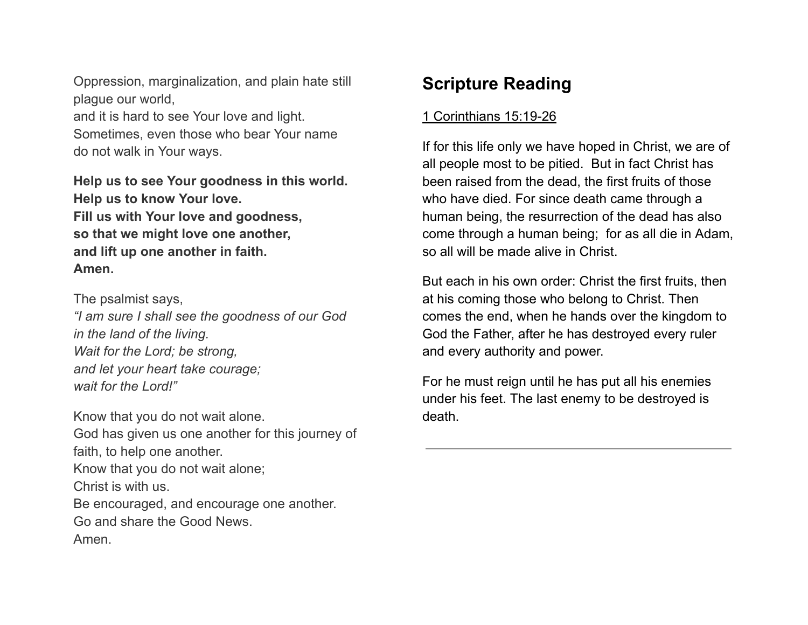Oppression, marginalization, and plain hate still plague our world, and it is hard to see Your love and light. Sometimes, even those who bear Your name do not walk in Your ways.

**Help us to see Your goodness in this world. Help us to know Your love. Fill us with Your love and goodness, so that we might love one another, and lift up one another in faith. Amen.**

The psalmist says, *"I am sure I shall see the goodness of our God in the land of the living. Wait for the Lord; be strong, and let your heart take courage; wait for the Lord!"*

Know that you do not wait alone. God has given us one another for this journey of faith, to help one another. Know that you do not wait alone; Christ is with us. Be encouraged, and encourage one another. Go and share the Good News. Amen.

# **Scripture Reading**

### 1 Corinthians 15:19-26

If for this life only we have hoped in Christ, we are of all people most to be pitied. But in fact Christ has been raised from the dead, the first fruits of those who have died. For since death came through a human being, the resurrection of the dead has also come through a human being; for as all die in Adam, so all will be made alive in Christ.

But each in his own order: Christ the first fruits, then at his coming those who belong to Christ. Then comes the end, when he hands over the kingdom to God the Father, after he has destroyed every ruler and every authority and power.

For he must reign until he has put all his enemies under his feet. The last enemy to be destroyed is death.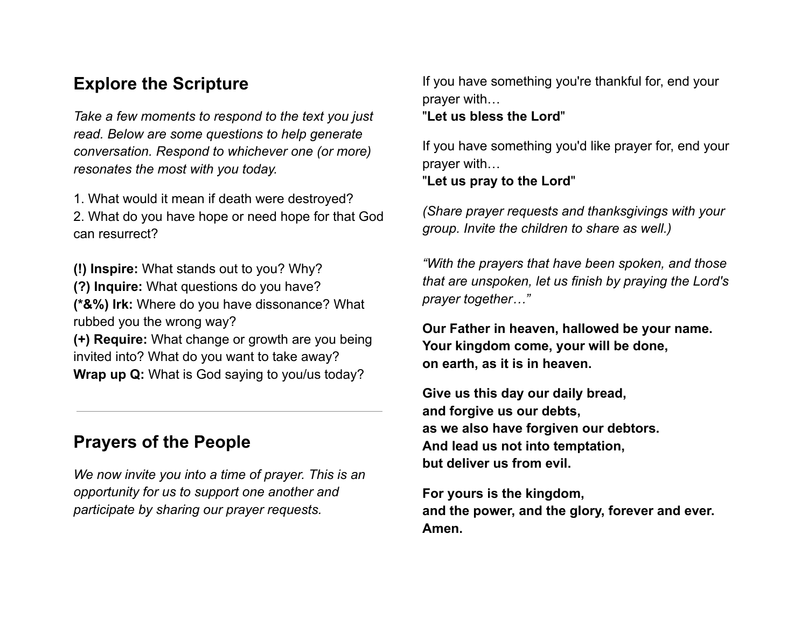### **Explore the Scripture**

*Take a few moments to respond to the text you just read. Below are some questions to help generate conversation. Respond to whichever one (or more) resonates the most with you today.*

1. What would it mean if death were destroyed? 2. What do you have hope or need hope for that God can resurrect?

**(!) Inspire:** What stands out to you? Why? **(?) Inquire:** What questions do you have? **(\*&%) Irk:** Where do you have dissonance? What rubbed you the wrong way?

**(+) Require:** What change or growth are you being invited into? What do you want to take away? **Wrap up Q:** What is God saying to you/us today?

## **Prayers of the People**

*We now invite you into a time of prayer. This is an opportunity for us to support one another and participate by sharing our prayer requests.*

If you have something you're thankful for, end your prayer with…

#### "**Let us bless the Lord**"

If you have something you'd like prayer for, end your prayer with…

#### "**Let us pray to the Lord**"

*(Share prayer requests and thanksgivings with your group. Invite the children to share as well.)*

*"With the prayers that have been spoken, and those that are unspoken, let us finish by praying the Lord's prayer together…"*

**Our Father in heaven, hallowed be your name. Your kingdom come, your will be done, on earth, as it is in heaven.**

**Give us this day our daily bread, and forgive us our debts, as we also have forgiven our debtors. And lead us not into temptation, but deliver us from evil.**

**For yours is the kingdom, and the power, and the glory, forever and ever. Amen.**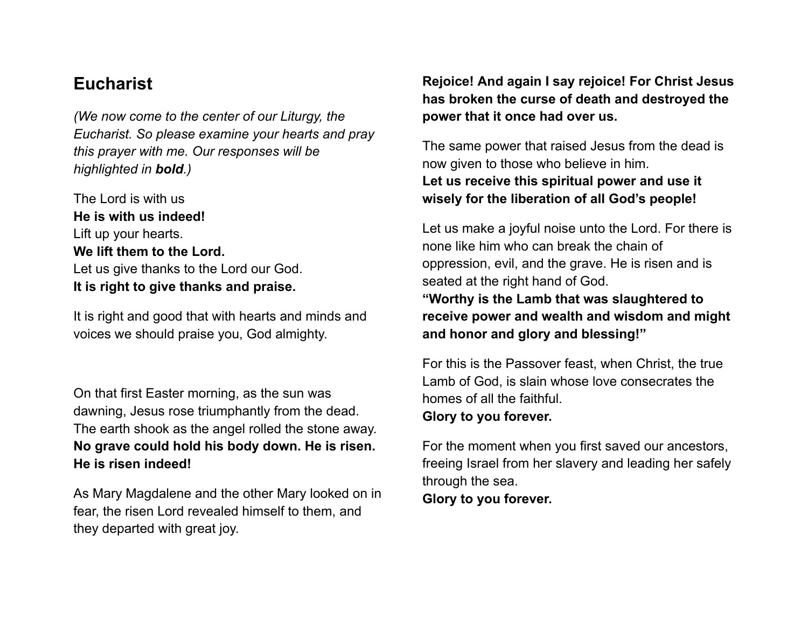### **Eucharist**

*(We now come to the center of our Liturgy, the Eucharist. So please examine your hearts and pray this prayer with me. Our responses will be highlighted in bold.)*

The Lord is with us **He is with us indeed!** Lift up your hearts. **We lift them to the Lord.** Let us give thanks to the Lord our God. **It is right to give thanks and praise.**

It is right and good that with hearts and minds and voices we should praise you, God almighty.

On that first Easter morning, as the sun was dawning, Jesus rose triumphantly from the dead. The earth shook as the angel rolled the stone away. **No grave could hold his body down. He is risen. He is risen indeed!**

As Mary Magdalene and the other Mary looked on in fear, the risen Lord revealed himself to them, and they departed with great joy.

**Rejoice! And again I say rejoice! For Christ Jesus has broken the curse of death and destroyed the power that it once had over us.**

The same power that raised Jesus from the dead is now given to those who believe in him. **Let us receive this spiritual power and use it wisely for the liberation of all God's people!**

Let us make a joyful noise unto the Lord. For there is none like him who can break the chain of oppression, evil, and the grave. He is risen and is seated at the right hand of God. **"Worthy is the Lamb that was slaughtered to receive power and wealth and wisdom and might and honor and glory and blessing!"**

For this is the Passover feast, when Christ, the true Lamb of God, is slain whose love consecrates the homes of all the faithful. **Glory to you forever.**

For the moment when you first saved our ancestors, freeing Israel from her slavery and leading her safely through the sea.

**Glory to you forever.**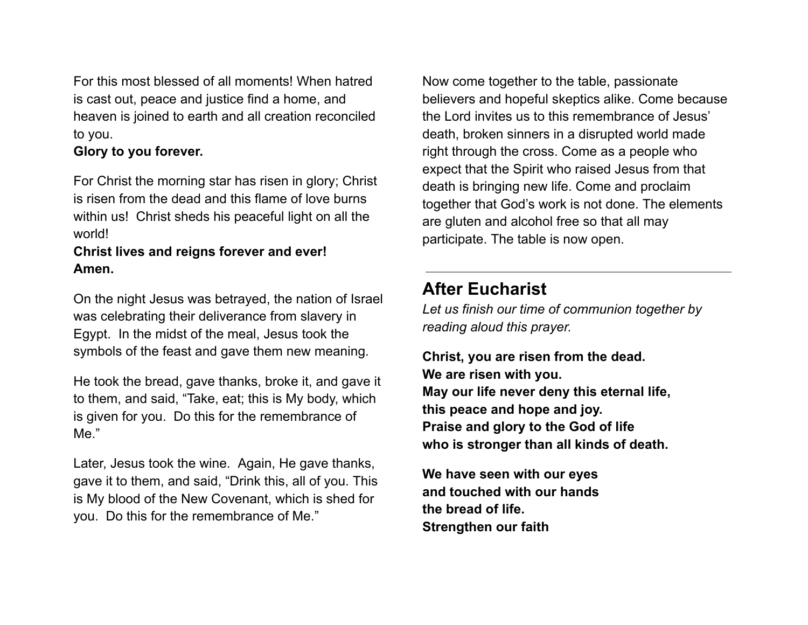For this most blessed of all moments! When hatred is cast out, peace and justice find a home, and heaven is joined to earth and all creation reconciled to you.

#### **Glory to you forever.**

For Christ the morning star has risen in glory; Christ is risen from the dead and this flame of love burns within us! Christ sheds his peaceful light on all the world!

#### **Christ lives and reigns forever and ever! Amen.**

On the night Jesus was betrayed, the nation of Israel was celebrating their deliverance from slavery in Egypt. In the midst of the meal, Jesus took the symbols of the feast and gave them new meaning.

He took the bread, gave thanks, broke it, and gave it to them, and said, "Take, eat; this is My body, which is given for you. Do this for the remembrance of Me."

Later, Jesus took the wine. Again, He gave thanks, gave it to them, and said, "Drink this, all of you. This is My blood of the New Covenant, which is shed for you. Do this for the remembrance of Me."

Now come together to the table, passionate believers and hopeful skeptics alike. Come because the Lord invites us to this remembrance of Jesus' death, broken sinners in a disrupted world made right through the cross. Come as a people who expect that the Spirit who raised Jesus from that death is bringing new life. Come and proclaim together that God's work is not done. The elements are gluten and alcohol free so that all may participate. The table is now open.

# **After Eucharist**

*Let us finish our time of communion together by reading aloud this prayer.*

**Christ, you are risen from the dead. We are risen with you. May our life never deny this eternal life, this peace and hope and joy. Praise and glory to the God of life who is stronger than all kinds of death.**

**We have seen with our eyes and touched with our hands the bread of life. Strengthen our faith**